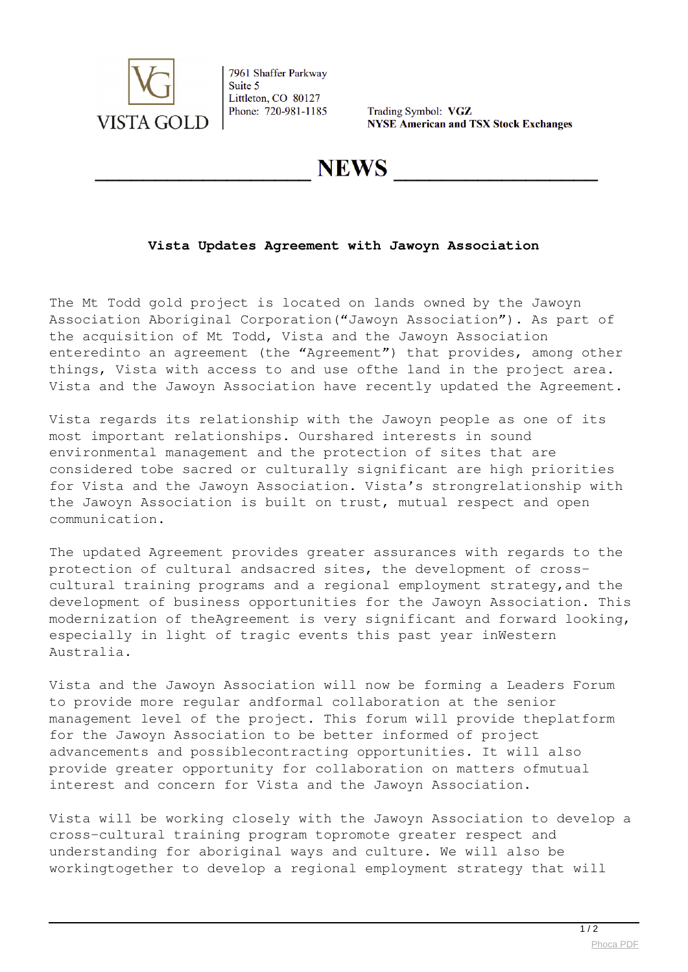

7961 Shaffer Parkway Suite 5 Littleton, CO 80127 Phone: 720-981-1185

Trading Symbol: VGZ **NYSE American and TSX Stock Exchanges** 

## **NEWS**

## **Vista Updates Agreement with Jawoyn Association**

The Mt Todd gold project is located on lands owned by the Jawoyn Association Aboriginal Corporation("Jawoyn Association"). As part of the acquisition of Mt Todd, Vista and the Jawoyn Association enteredinto an agreement (the "Agreement") that provides, among other things, Vista with access to and use ofthe land in the project area. Vista and the Jawoyn Association have recently updated the Agreement.

Vista regards its relationship with the Jawoyn people as one of its most important relationships. Ourshared interests in sound environmental management and the protection of sites that are considered tobe sacred or culturally significant are high priorities for Vista and the Jawoyn Association. Vista's strongrelationship with the Jawoyn Association is built on trust, mutual respect and open communication.

The updated Agreement provides greater assurances with regards to the protection of cultural andsacred sites, the development of crosscultural training programs and a regional employment strategy,and the development of business opportunities for the Jawoyn Association. This modernization of theAgreement is very significant and forward looking, especially in light of tragic events this past year inWestern Australia.

Vista and the Jawoyn Association will now be forming a Leaders Forum to provide more regular andformal collaboration at the senior management level of the project. This forum will provide theplatform for the Jawoyn Association to be better informed of project advancements and possiblecontracting opportunities. It will also provide greater opportunity for collaboration on matters ofmutual interest and concern for Vista and the Jawoyn Association.

Vista will be working closely with the Jawoyn Association to develop a cross-cultural training program topromote greater respect and understanding for aboriginal ways and culture. We will also be workingtogether to develop a regional employment strategy that will